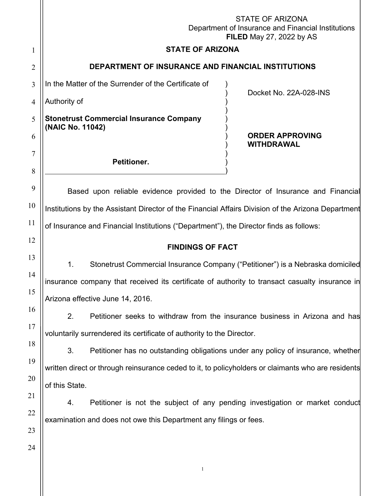|                | <b>STATE OF ARIZONA</b><br>Department of Insurance and Financial Institutions<br><b>FILED May 27, 2022 by AS</b>                 |  |  |
|----------------|----------------------------------------------------------------------------------------------------------------------------------|--|--|
| 1              | <b>STATE OF ARIZONA</b>                                                                                                          |  |  |
| $\overline{2}$ | DEPARTMENT OF INSURANCE AND FINANCIAL INSTITUTIONS                                                                               |  |  |
| 3              | In the Matter of the Surrender of the Certificate of                                                                             |  |  |
| 4              | Docket No. 22A-028-INS<br>Authority of                                                                                           |  |  |
| 5              | <b>Stonetrust Commercial Insurance Company</b><br>(NAIC No. 11042)<br><b>ORDER APPROVING</b><br><b>WITHDRAWAL</b><br>Petitioner. |  |  |
| 6              |                                                                                                                                  |  |  |
| 7              |                                                                                                                                  |  |  |
| 8              |                                                                                                                                  |  |  |
| 9              | Based upon reliable evidence provided to the Director of Insurance and Financial                                                 |  |  |
| 10             | Institutions by the Assistant Director of the Financial Affairs Division of the Arizona Department                               |  |  |
| 11             | of Insurance and Financial Institutions ("Department"), the Director finds as follows:                                           |  |  |
| 12             | <b>FINDINGS OF FACT</b>                                                                                                          |  |  |
|                |                                                                                                                                  |  |  |
| 13             |                                                                                                                                  |  |  |
| 14             | 1.<br>Stonetrust Commercial Insurance Company ("Petitioner") is a Nebraska domiciled                                             |  |  |
| 15             | insurance company that received its certificate of authority to transact casualty insurance in                                   |  |  |
| 16             | Arizona effective June 14, 2016.                                                                                                 |  |  |
| 17             | 2.<br>Petitioner seeks to withdraw from the insurance business in Arizona and has                                                |  |  |
| 18             | voluntarily surrendered its certificate of authority to the Director.                                                            |  |  |
| 19             | 3.<br>Petitioner has no outstanding obligations under any policy of insurance, whether                                           |  |  |
| 20             | written direct or through reinsurance ceded to it, to policyholders or claimants who are residents                               |  |  |
| 21             | of this State.                                                                                                                   |  |  |
| 22             | Petitioner is not the subject of any pending investigation or market conduct<br>4.                                               |  |  |
| 23             | examination and does not owe this Department any filings or fees.                                                                |  |  |
| 24             |                                                                                                                                  |  |  |
|                | $\mathbf{1}$                                                                                                                     |  |  |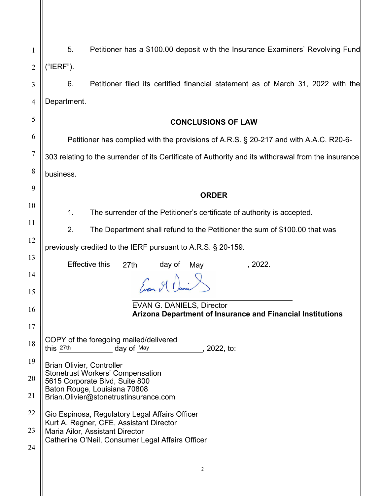| 1              | 5.                                                                                                       | Petitioner has a \$100.00 deposit with the Insurance Examiners' Revolving Fund   |  |
|----------------|----------------------------------------------------------------------------------------------------------|----------------------------------------------------------------------------------|--|
| $\overline{2}$ | ("IERF").                                                                                                |                                                                                  |  |
| 3              | 6.                                                                                                       | Petitioner filed its certified financial statement as of March 31, 2022 with the |  |
| 4              | Department.                                                                                              |                                                                                  |  |
| 5              |                                                                                                          | <b>CONCLUSIONS OF LAW</b>                                                        |  |
| 6              | Petitioner has complied with the provisions of A.R.S. § 20-217 and with A.A.C. R20-6-                    |                                                                                  |  |
| 7              | 303 relating to the surrender of its Certificate of Authority and its withdrawal from the insurance      |                                                                                  |  |
| 8              | business.                                                                                                |                                                                                  |  |
| 9              |                                                                                                          | <b>ORDER</b>                                                                     |  |
| 10             |                                                                                                          |                                                                                  |  |
| 11             | $\mathbf 1$ .                                                                                            | The surrender of the Petitioner's certificate of authority is accepted.          |  |
| 12             | 2.                                                                                                       | The Department shall refund to the Petitioner the sum of \$100.00 that was       |  |
|                | previously credited to the IERF pursuant to A.R.S. § 20-159.                                             |                                                                                  |  |
| 13             | Effective this 27th day of May<br>. 2022.                                                                |                                                                                  |  |
| 14<br>15       | Evan 9 Dani                                                                                              |                                                                                  |  |
|                |                                                                                                          | EVAN G. DANIELS, Director                                                        |  |
| 16             |                                                                                                          | Arizona Department of Insurance and Financial Institutions                       |  |
| 17             |                                                                                                          |                                                                                  |  |
| 18             | COPY of the foregoing mailed/delivered<br>this 27th<br>day of May<br><u>_____________</u> ___, 2022, to: |                                                                                  |  |
| 19             | <b>Brian Olivier, Controller</b>                                                                         |                                                                                  |  |
| 20             | <b>Stonetrust Workers' Compensation</b><br>5615 Corporate Blvd, Suite 800                                |                                                                                  |  |
| 21             |                                                                                                          | Baton Rouge, Louisiana 70808<br>Brian.Olivier@stonetrustinsurance.com            |  |
| 22             |                                                                                                          | Gio Espinosa, Regulatory Legal Affairs Officer                                   |  |
| 23             | Kurt A. Regner, CFE, Assistant Director<br>Maria Ailor, Assistant Director                               |                                                                                  |  |
| 24             |                                                                                                          | Catherine O'Neil, Consumer Legal Affairs Officer                                 |  |
|                |                                                                                                          | 2                                                                                |  |
|                |                                                                                                          |                                                                                  |  |